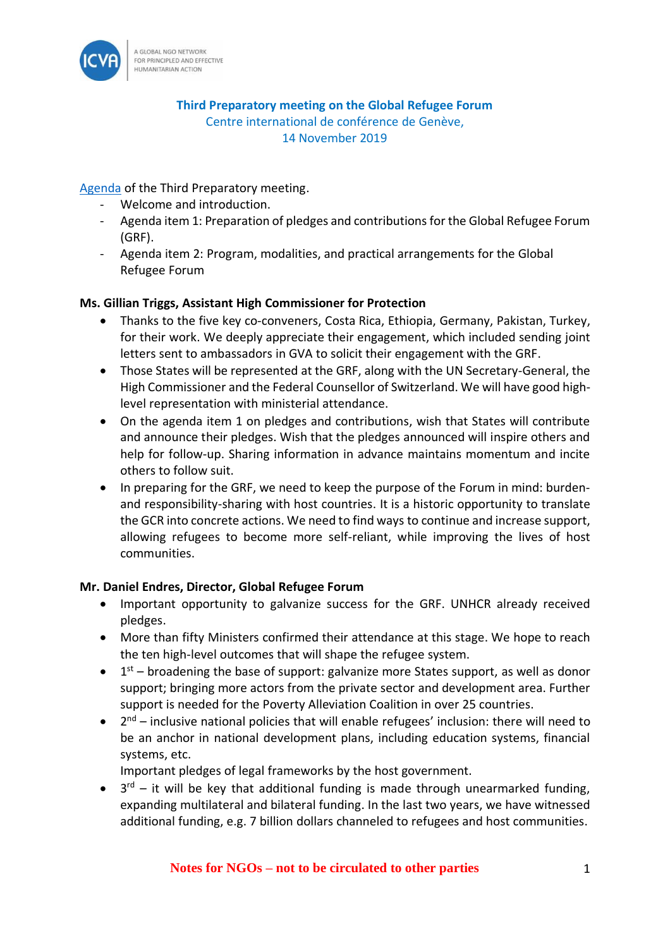

**Third Preparatory meeting on the Global Refugee Forum** Centre international de conférence de Genève, 14 November 2019

[Agenda](https://www.unhcr.org/5dc403ab7) of the Third Preparatory meeting.

- Welcome and introduction.
- Agenda item 1: Preparation of pledges and contributions for the Global Refugee Forum (GRF).
- Agenda item 2: Program, modalities, and practical arrangements for the Global Refugee Forum

## **Ms. Gillian Triggs, Assistant High Commissioner for Protection**

- Thanks to the five key co-conveners, Costa Rica, Ethiopia, Germany, Pakistan, Turkey, for their work. We deeply appreciate their engagement, which included sending joint letters sent to ambassadors in GVA to solicit their engagement with the GRF.
- Those States will be represented at the GRF, along with the UN Secretary-General, the High Commissioner and the Federal Counsellor of Switzerland. We will have good highlevel representation with ministerial attendance.
- On the agenda item 1 on pledges and contributions, wish that States will contribute and announce their pledges. Wish that the pledges announced will inspire others and help for follow-up. Sharing information in advance maintains momentum and incite others to follow suit.
- In preparing for the GRF, we need to keep the purpose of the Forum in mind: burdenand responsibility-sharing with host countries. It is a historic opportunity to translate the GCR into concrete actions. We need to find ways to continue and increase support, allowing refugees to become more self-reliant, while improving the lives of host communities.

## **Mr. Daniel Endres, Director, Global Refugee Forum**

- Important opportunity to galvanize success for the GRF. UNHCR already received pledges.
- More than fifty Ministers confirmed their attendance at this stage. We hope to reach the ten high-level outcomes that will shape the refugee system.
- $\bullet$  1<sup>st</sup> broadening the base of support: galvanize more States support, as well as donor support; bringing more actors from the private sector and development area. Further support is needed for the Poverty Alleviation Coalition in over 25 countries.
- $\bullet$   $2^{nd}$  inclusive national policies that will enable refugees' inclusion: there will need to be an anchor in national development plans, including education systems, financial systems, etc.
	- Important pledges of legal frameworks by the host government.
- $\bullet$  3<sup>rd</sup> it will be key that additional funding is made through unearmarked funding, expanding multilateral and bilateral funding. In the last two years, we have witnessed additional funding, e.g. 7 billion dollars channeled to refugees and host communities.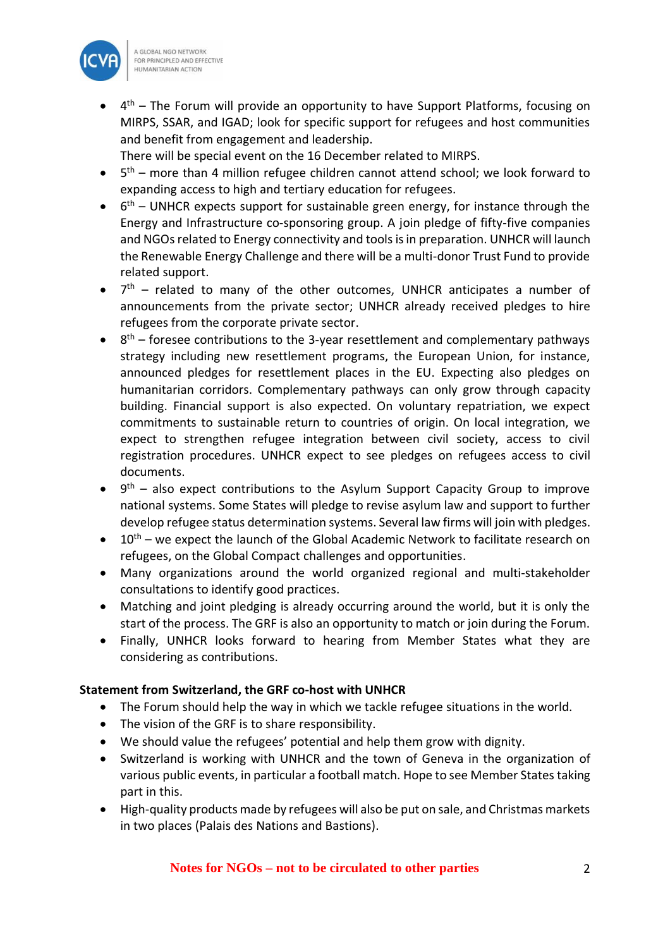

• 4<sup>th</sup> – The Forum will provide an opportunity to have Support Platforms, focusing on MIRPS, SSAR, and IGAD; look for specific support for refugees and host communities and benefit from engagement and leadership.

There will be special event on the 16 December related to MIRPS.

- $\bullet$  5<sup>th</sup> more than 4 million refugee children cannot attend school; we look forward to expanding access to high and tertiary education for refugees.
- $\bullet$  6<sup>th</sup> UNHCR expects support for sustainable green energy, for instance through the Energy and Infrastructure co-sponsoring group. A join pledge of fifty-five companies and NGOs related to Energy connectivity and tools is in preparation. UNHCR will launch the Renewable Energy Challenge and there will be a multi-donor Trust Fund to provide related support.
- $\bullet$   $7<sup>th</sup>$  related to many of the other outcomes, UNHCR anticipates a number of announcements from the private sector; UNHCR already received pledges to hire refugees from the corporate private sector.
- $\bullet$   $8<sup>th</sup>$  foresee contributions to the 3-year resettlement and complementary pathways strategy including new resettlement programs, the European Union, for instance, announced pledges for resettlement places in the EU. Expecting also pledges on humanitarian corridors. Complementary pathways can only grow through capacity building. Financial support is also expected. On voluntary repatriation, we expect commitments to sustainable return to countries of origin. On local integration, we expect to strengthen refugee integration between civil society, access to civil registration procedures. UNHCR expect to see pledges on refugees access to civil documents.
- $\bullet$   $9<sup>th</sup>$  also expect contributions to the Asylum Support Capacity Group to improve national systems. Some States will pledge to revise asylum law and support to further develop refugee status determination systems. Several law firms will join with pledges.
- $\bullet$  10<sup>th</sup> we expect the launch of the Global Academic Network to facilitate research on refugees, on the Global Compact challenges and opportunities.
- Many organizations around the world organized regional and multi-stakeholder consultations to identify good practices.
- Matching and joint pledging is already occurring around the world, but it is only the start of the process. The GRF is also an opportunity to match or join during the Forum.
- Finally, UNHCR looks forward to hearing from Member States what they are considering as contributions.

## **Statement from Switzerland, the GRF co-host with UNHCR**

- The Forum should help the way in which we tackle refugee situations in the world.
- The vision of the GRF is to share responsibility.
- We should value the refugees' potential and help them grow with dignity.
- Switzerland is working with UNHCR and the town of Geneva in the organization of various public events, in particular a football match. Hope to see Member States taking part in this.
- High-quality products made by refugees will also be put on sale, and Christmas markets in two places (Palais des Nations and Bastions).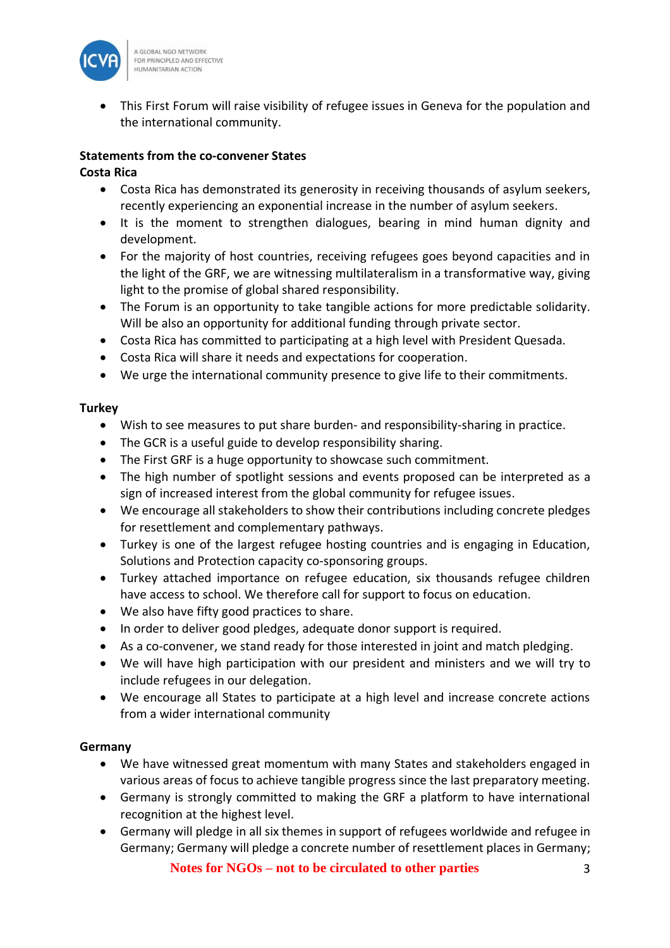

• This First Forum will raise visibility of refugee issues in Geneva for the population and the international community.

# **Statements from the co-convener States**

## **Costa Rica**

- Costa Rica has demonstrated its generosity in receiving thousands of asylum seekers, recently experiencing an exponential increase in the number of asylum seekers.
- It is the moment to strengthen dialogues, bearing in mind human dignity and development.
- For the majority of host countries, receiving refugees goes beyond capacities and in the light of the GRF, we are witnessing multilateralism in a transformative way, giving light to the promise of global shared responsibility.
- The Forum is an opportunity to take tangible actions for more predictable solidarity. Will be also an opportunity for additional funding through private sector.
- Costa Rica has committed to participating at a high level with President Quesada.
- Costa Rica will share it needs and expectations for cooperation.
- We urge the international community presence to give life to their commitments.

# **Turkey**

- Wish to see measures to put share burden- and responsibility-sharing in practice.
- The GCR is a useful guide to develop responsibility sharing.
- The First GRF is a huge opportunity to showcase such commitment.
- The high number of spotlight sessions and events proposed can be interpreted as a sign of increased interest from the global community for refugee issues.
- We encourage all stakeholders to show their contributions including concrete pledges for resettlement and complementary pathways.
- Turkey is one of the largest refugee hosting countries and is engaging in Education, Solutions and Protection capacity co-sponsoring groups.
- Turkey attached importance on refugee education, six thousands refugee children have access to school. We therefore call for support to focus on education.
- We also have fifty good practices to share.
- In order to deliver good pledges, adequate donor support is required.
- As a co-convener, we stand ready for those interested in joint and match pledging.
- We will have high participation with our president and ministers and we will try to include refugees in our delegation.
- We encourage all States to participate at a high level and increase concrete actions from a wider international community

# **Germany**

- We have witnessed great momentum with many States and stakeholders engaged in various areas of focus to achieve tangible progress since the last preparatory meeting.
- Germany is strongly committed to making the GRF a platform to have international recognition at the highest level.
- Germany will pledge in all six themes in support of refugees worldwide and refugee in Germany; Germany will pledge a concrete number of resettlement places in Germany;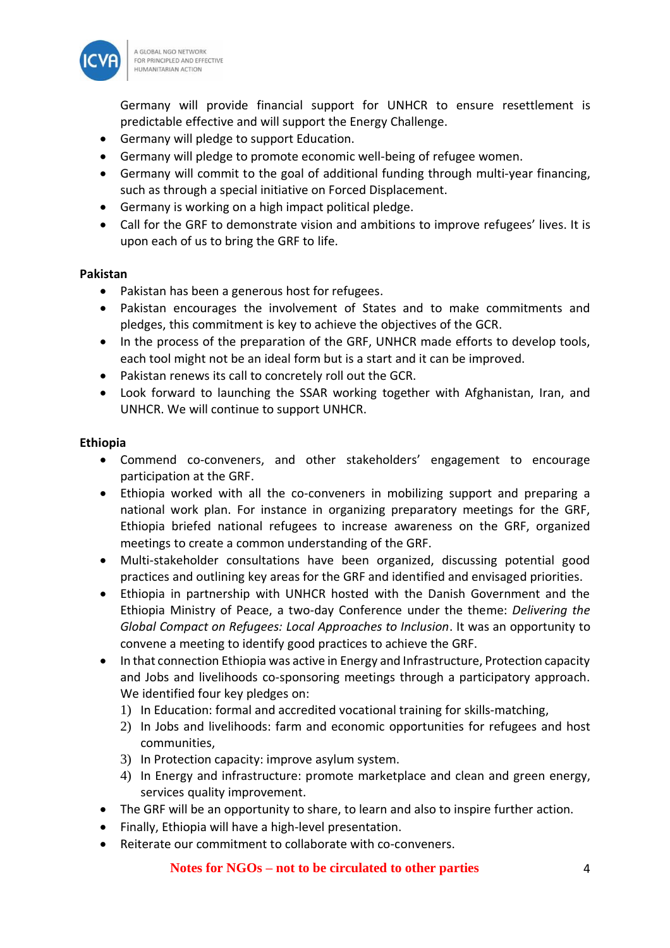

Germany will provide financial support for UNHCR to ensure resettlement is predictable effective and will support the Energy Challenge.

- Germany will pledge to support Education.
- Germany will pledge to promote economic well-being of refugee women.
- Germany will commit to the goal of additional funding through multi-year financing, such as through a special initiative on Forced Displacement.
- Germany is working on a high impact political pledge.
- Call for the GRF to demonstrate vision and ambitions to improve refugees' lives. It is upon each of us to bring the GRF to life.

#### **Pakistan**

- Pakistan has been a generous host for refugees.
- Pakistan encourages the involvement of States and to make commitments and pledges, this commitment is key to achieve the objectives of the GCR.
- In the process of the preparation of the GRF, UNHCR made efforts to develop tools, each tool might not be an ideal form but is a start and it can be improved.
- Pakistan renews its call to concretely roll out the GCR.
- Look forward to launching the SSAR working together with Afghanistan, Iran, and UNHCR. We will continue to support UNHCR.

#### **Ethiopia**

- Commend co-conveners, and other stakeholders' engagement to encourage participation at the GRF.
- Ethiopia worked with all the co-conveners in mobilizing support and preparing a national work plan. For instance in organizing preparatory meetings for the GRF, Ethiopia briefed national refugees to increase awareness on the GRF, organized meetings to create a common understanding of the GRF.
- Multi-stakeholder consultations have been organized, discussing potential good practices and outlining key areas for the GRF and identified and envisaged priorities.
- Ethiopia in partnership with UNHCR hosted with the Danish Government and the Ethiopia Ministry of Peace, a two-day Conference under the theme: *Delivering the Global Compact on Refugees: Local Approaches to Inclusion*. It was an opportunity to convene a meeting to identify good practices to achieve the GRF.
- In that connection Ethiopia was active in Energy and Infrastructure, Protection capacity and Jobs and livelihoods co-sponsoring meetings through a participatory approach. We identified four key pledges on:
	- 1) In Education: formal and accredited vocational training for skills-matching,
	- 2) In Jobs and livelihoods: farm and economic opportunities for refugees and host communities,
	- 3) In Protection capacity: improve asylum system.
	- 4) In Energy and infrastructure: promote marketplace and clean and green energy, services quality improvement.
- The GRF will be an opportunity to share, to learn and also to inspire further action.
- Finally, Ethiopia will have a high-level presentation.
- Reiterate our commitment to collaborate with co-conveners.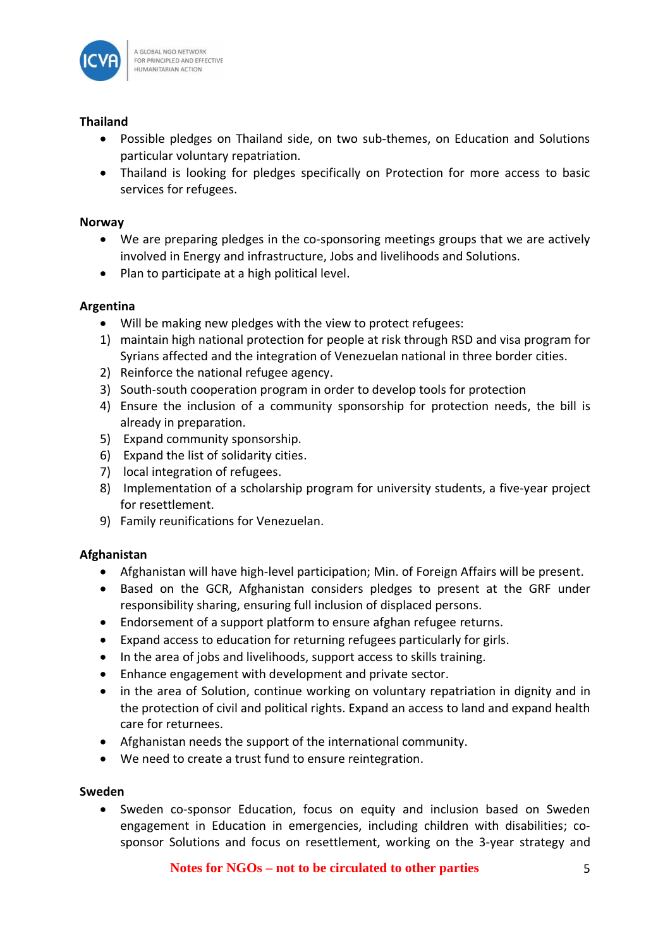

## **Thailand**

- Possible pledges on Thailand side, on two sub-themes, on Education and Solutions particular voluntary repatriation.
- Thailand is looking for pledges specifically on Protection for more access to basic services for refugees.

## **Norway**

- We are preparing pledges in the co-sponsoring meetings groups that we are actively involved in Energy and infrastructure, Jobs and livelihoods and Solutions.
- Plan to participate at a high political level.

## **Argentina**

- Will be making new pledges with the view to protect refugees:
- 1) maintain high national protection for people at risk through RSD and visa program for Syrians affected and the integration of Venezuelan national in three border cities.
- 2) Reinforce the national refugee agency.
- 3) South-south cooperation program in order to develop tools for protection
- 4) Ensure the inclusion of a community sponsorship for protection needs, the bill is already in preparation.
- 5) Expand community sponsorship.
- 6) Expand the list of solidarity cities.
- 7) local integration of refugees.
- 8) Implementation of a scholarship program for university students, a five-year project for resettlement.
- 9) Family reunifications for Venezuelan.

#### **Afghanistan**

- Afghanistan will have high-level participation; Min. of Foreign Affairs will be present.
- Based on the GCR, Afghanistan considers pledges to present at the GRF under responsibility sharing, ensuring full inclusion of displaced persons.
- Endorsement of a support platform to ensure afghan refugee returns.
- Expand access to education for returning refugees particularly for girls.
- In the area of jobs and livelihoods, support access to skills training.
- Enhance engagement with development and private sector.
- in the area of Solution, continue working on voluntary repatriation in dignity and in the protection of civil and political rights. Expand an access to land and expand health care for returnees.
- Afghanistan needs the support of the international community.
- We need to create a trust fund to ensure reintegration.

#### **Sweden**

• Sweden co-sponsor Education, focus on equity and inclusion based on Sweden engagement in Education in emergencies, including children with disabilities; cosponsor Solutions and focus on resettlement, working on the 3-year strategy and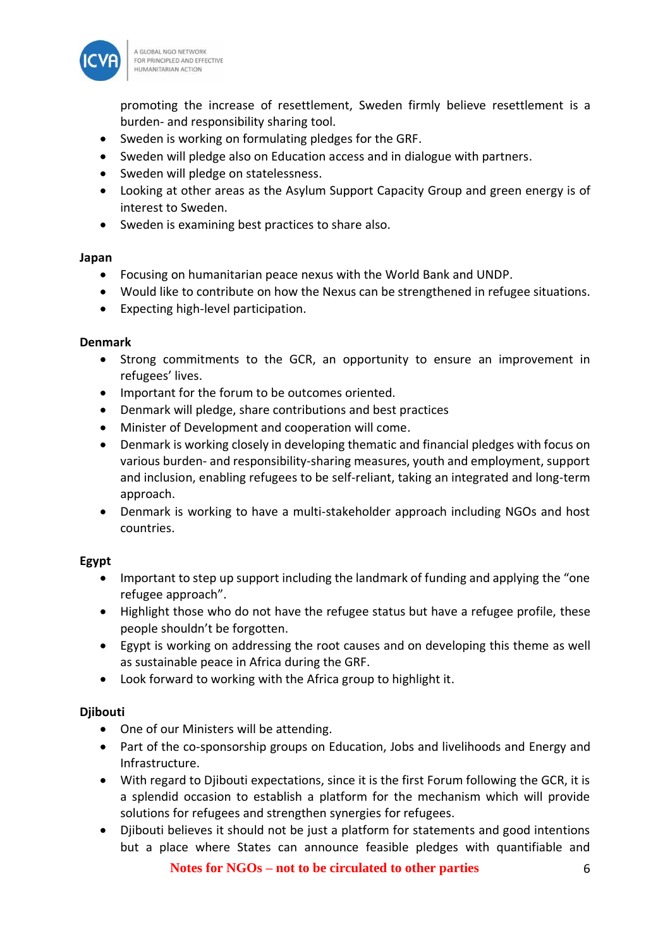

promoting the increase of resettlement, Sweden firmly believe resettlement is a burden- and responsibility sharing tool.

- Sweden is working on formulating pledges for the GRF.
- Sweden will pledge also on Education access and in dialogue with partners.
- Sweden will pledge on statelessness.
- Looking at other areas as the Asylum Support Capacity Group and green energy is of interest to Sweden.
- Sweden is examining best practices to share also.

#### **Japan**

- Focusing on humanitarian peace nexus with the World Bank and UNDP.
- Would like to contribute on how the Nexus can be strengthened in refugee situations.
- Expecting high-level participation.

#### **Denmark**

- Strong commitments to the GCR, an opportunity to ensure an improvement in refugees' lives.
- Important for the forum to be outcomes oriented.
- Denmark will pledge, share contributions and best practices
- Minister of Development and cooperation will come.
- Denmark is working closely in developing thematic and financial pledges with focus on various burden- and responsibility-sharing measures, youth and employment, support and inclusion, enabling refugees to be self-reliant, taking an integrated and long-term approach.
- Denmark is working to have a multi-stakeholder approach including NGOs and host countries.

## **Egypt**

- Important to step up support including the landmark of funding and applying the "one refugee approach".
- Highlight those who do not have the refugee status but have a refugee profile, these people shouldn't be forgotten.
- Egypt is working on addressing the root causes and on developing this theme as well as sustainable peace in Africa during the GRF.
- Look forward to working with the Africa group to highlight it.

#### **Djibouti**

- One of our Ministers will be attending.
- Part of the co-sponsorship groups on Education, Jobs and livelihoods and Energy and Infrastructure.
- With regard to Djibouti expectations, since it is the first Forum following the GCR, it is a splendid occasion to establish a platform for the mechanism which will provide solutions for refugees and strengthen synergies for refugees.
- Djibouti believes it should not be just a platform for statements and good intentions but a place where States can announce feasible pledges with quantifiable and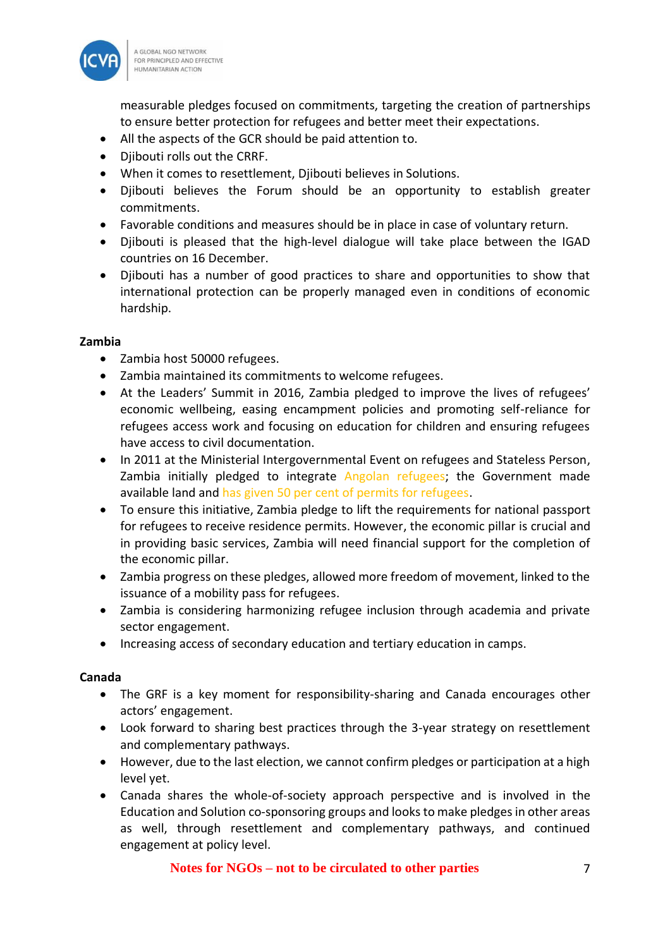

measurable pledges focused on commitments, targeting the creation of partnerships to ensure better protection for refugees and better meet their expectations.

- All the aspects of the GCR should be paid attention to.
- Djibouti rolls out the CRRF.
- When it comes to resettlement, Djibouti believes in Solutions.
- Djibouti believes the Forum should be an opportunity to establish greater commitments.
- Favorable conditions and measures should be in place in case of voluntary return.
- Djibouti is pleased that the high-level dialogue will take place between the IGAD countries on 16 December.
- Djibouti has a number of good practices to share and opportunities to show that international protection can be properly managed even in conditions of economic hardship.

## **Zambia**

- Zambia host 50000 refugees.
- Zambia maintained its commitments to welcome refugees.
- At the Leaders' Summit in 2016, Zambia pledged to improve the lives of refugees' economic wellbeing, easing encampment policies and promoting self-reliance for refugees access work and focusing on education for children and ensuring refugees have access to civil documentation.
- In 2011 at the Ministerial Intergovernmental Event on refugees and Stateless Person, Zambia initially pledged to integrate Angolan refugees; the Government made available land and has given 50 per cent of permits for refugees.
- To ensure this initiative, Zambia pledge to lift the requirements for national passport for refugees to receive residence permits. However, the economic pillar is crucial and in providing basic services, Zambia will need financial support for the completion of the economic pillar.
- Zambia progress on these pledges, allowed more freedom of movement, linked to the issuance of a mobility pass for refugees.
- Zambia is considering harmonizing refugee inclusion through academia and private sector engagement.
- Increasing access of secondary education and tertiary education in camps.

#### **Canada**

- The GRF is a key moment for responsibility-sharing and Canada encourages other actors' engagement.
- Look forward to sharing best practices through the 3-year strategy on resettlement and complementary pathways.
- However, due to the last election, we cannot confirm pledges or participation at a high level yet.
- Canada shares the whole-of-society approach perspective and is involved in the Education and Solution co-sponsoring groups and looksto make pledges in other areas as well, through resettlement and complementary pathways, and continued engagement at policy level.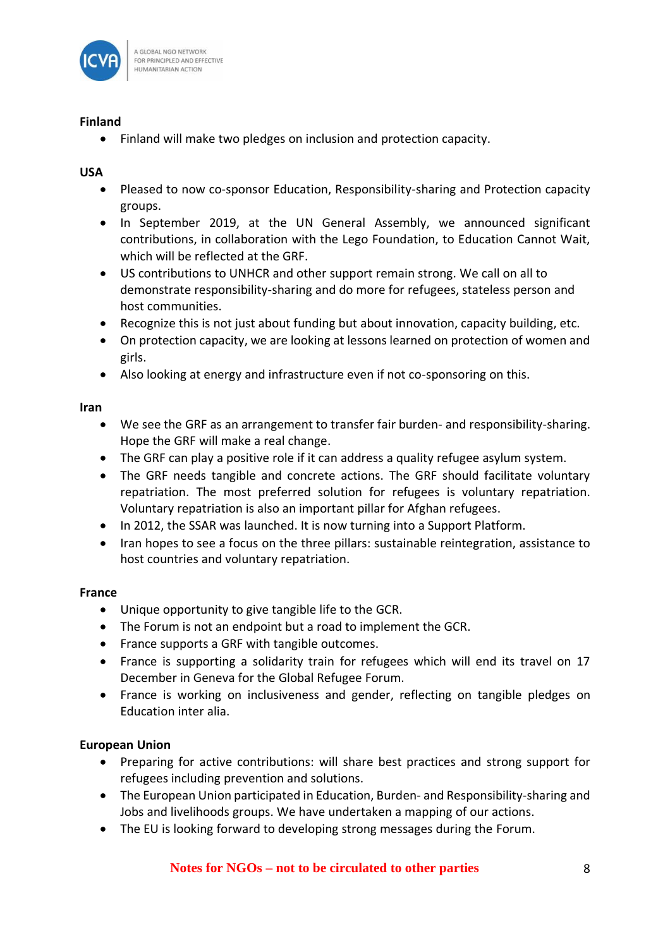

## **Finland**

• Finland will make two pledges on inclusion and protection capacity.

# **USA**

- Pleased to now co-sponsor Education, Responsibility-sharing and Protection capacity groups.
- In September 2019, at the UN General Assembly, we announced significant contributions, in collaboration with the Lego Foundation, to Education Cannot Wait, which will be reflected at the GRF.
- US contributions to UNHCR and other support remain strong. We call on all to demonstrate responsibility-sharing and do more for refugees, stateless person and host communities.
- Recognize this is not just about funding but about innovation, capacity building, etc.
- On protection capacity, we are looking at lessons learned on protection of women and girls.
- Also looking at energy and infrastructure even if not co-sponsoring on this.

## **Iran**

- We see the GRF as an arrangement to transfer fair burden- and responsibility-sharing. Hope the GRF will make a real change.
- The GRF can play a positive role if it can address a quality refugee asylum system.
- The GRF needs tangible and concrete actions. The GRF should facilitate voluntary repatriation. The most preferred solution for refugees is voluntary repatriation. Voluntary repatriation is also an important pillar for Afghan refugees.
- In 2012, the SSAR was launched. It is now turning into a Support Platform.
- Iran hopes to see a focus on the three pillars: sustainable reintegration, assistance to host countries and voluntary repatriation.

## **France**

- Unique opportunity to give tangible life to the GCR.
- The Forum is not an endpoint but a road to implement the GCR.
- France supports a GRF with tangible outcomes.
- France is supporting a solidarity train for refugees which will end its travel on 17 December in Geneva for the Global Refugee Forum.
- France is working on inclusiveness and gender, reflecting on tangible pledges on Education inter alia.

## **European Union**

- Preparing for active contributions: will share best practices and strong support for refugees including prevention and solutions.
- The European Union participated in Education, Burden- and Responsibility-sharing and Jobs and livelihoods groups. We have undertaken a mapping of our actions.
- The EU is looking forward to developing strong messages during the Forum.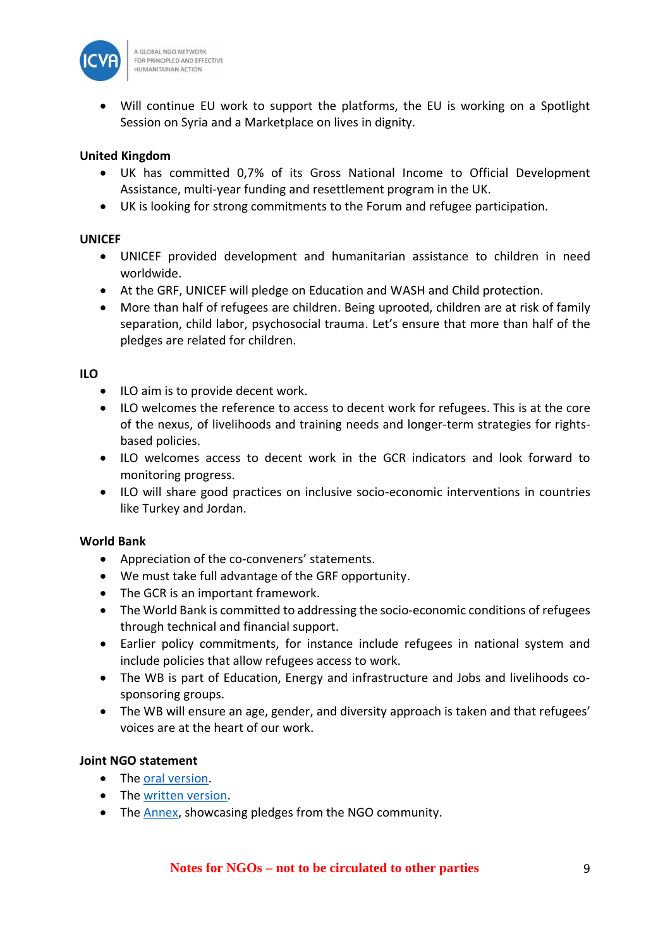

• Will continue EU work to support the platforms, the EU is working on a Spotlight Session on Syria and a Marketplace on lives in dignity.

## **United Kingdom**

- UK has committed 0,7% of its Gross National Income to Official Development Assistance, multi-year funding and resettlement program in the UK.
- UK is looking for strong commitments to the Forum and refugee participation.

#### **UNICEF**

- UNICEF provided development and humanitarian assistance to children in need worldwide.
- At the GRF, UNICEF will pledge on Education and WASH and Child protection.
- More than half of refugees are children. Being uprooted, children are at risk of family separation, child labor, psychosocial trauma. Let's ensure that more than half of the pledges are related for children.

## **ILO**

- ILO aim is to provide decent work.
- ILO welcomes the reference to access to decent work for refugees. This is at the core of the nexus, of livelihoods and training needs and longer-term strategies for rightsbased policies.
- ILO welcomes access to decent work in the GCR indicators and look forward to monitoring progress.
- ILO will share good practices on inclusive socio-economic interventions in countries like Turkey and Jordan.

## **World Bank**

- Appreciation of the co-conveners' statements.
- We must take full advantage of the GRF opportunity.
- The GCR is an important framework.
- The World Bank is committed to addressing the socio-economic conditions of refugees through technical and financial support.
- Earlier policy commitments, for instance include refugees in national system and include policies that allow refugees access to work.
- The WB is part of Education, Energy and infrastructure and Jobs and livelihoods cosponsoring groups.
- The WB will ensure an age, gender, and diversity approach is taken and that refugees' voices are at the heart of our work.

## **Joint NGO statement**

- The [oral version.](https://www.icvanetwork.org/system/files/versions/NGO_statement_GRF_3rd_prep_meeting_14Nov2019_ORAL.pdf)
- The [written version.](https://www.icvanetwork.org/system/files/versions/NGO_statement_GRF_3rd_prep_meeting_14Nov2019_WRITTEN.pdf)
- The [Annex,](https://www.icvanetwork.org/resources/annex-%E2%80%93-ngo-examples-pledges-third-preparatory-meeting-fort-he-grf-14-november-2019) showcasing pledges from the NGO community.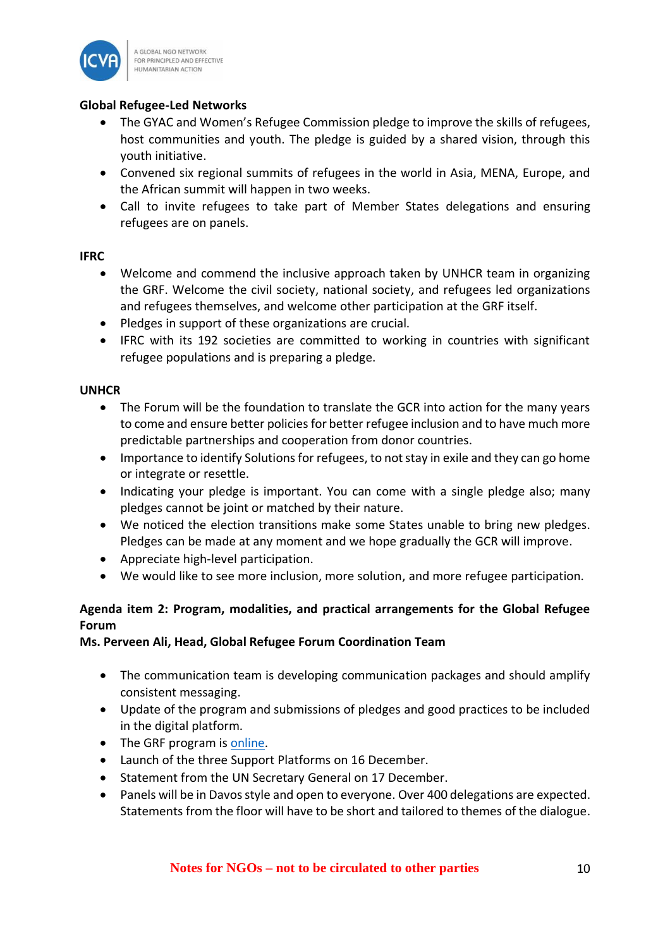

## **Global Refugee-Led Networks**

- The GYAC and Women's Refugee Commission pledge to improve the skills of refugees, host communities and youth. The pledge is guided by a shared vision, through this youth initiative.
- Convened six regional summits of refugees in the world in Asia, MENA, Europe, and the African summit will happen in two weeks.
- Call to invite refugees to take part of Member States delegations and ensuring refugees are on panels.

#### **IFRC**

- Welcome and commend the inclusive approach taken by UNHCR team in organizing the GRF. Welcome the civil society, national society, and refugees led organizations and refugees themselves, and welcome other participation at the GRF itself.
- Pledges in support of these organizations are crucial.
- IFRC with its 192 societies are committed to working in countries with significant refugee populations and is preparing a pledge.

## **UNHCR**

- The Forum will be the foundation to translate the GCR into action for the many years to come and ensure better policies for better refugee inclusion and to have much more predictable partnerships and cooperation from donor countries.
- Importance to identify Solutions for refugees, to not stay in exile and they can go home or integrate or resettle.
- Indicating your pledge is important. You can come with a single pledge also; many pledges cannot be joint or matched by their nature.
- We noticed the election transitions make some States unable to bring new pledges. Pledges can be made at any moment and we hope gradually the GCR will improve.
- Appreciate high-level participation.
- We would like to see more inclusion, more solution, and more refugee participation.

# **Agenda item 2: Program, modalities, and practical arrangements for the Global Refugee Forum**

## **Ms. Perveen Ali, Head, Global Refugee Forum Coordination Team**

- The communication team is developing communication packages and should amplify consistent messaging.
- Update of the program and submissions of pledges and good practices to be included in the digital platform.
- The GRF program is [online.](https://www.unhcr.org/5d4bdb837)
- Launch of the three Support Platforms on 16 December.
- Statement from the UN Secretary General on 17 December.
- Panels will be in Davos style and open to everyone. Over 400 delegations are expected. Statements from the floor will have to be short and tailored to themes of the dialogue.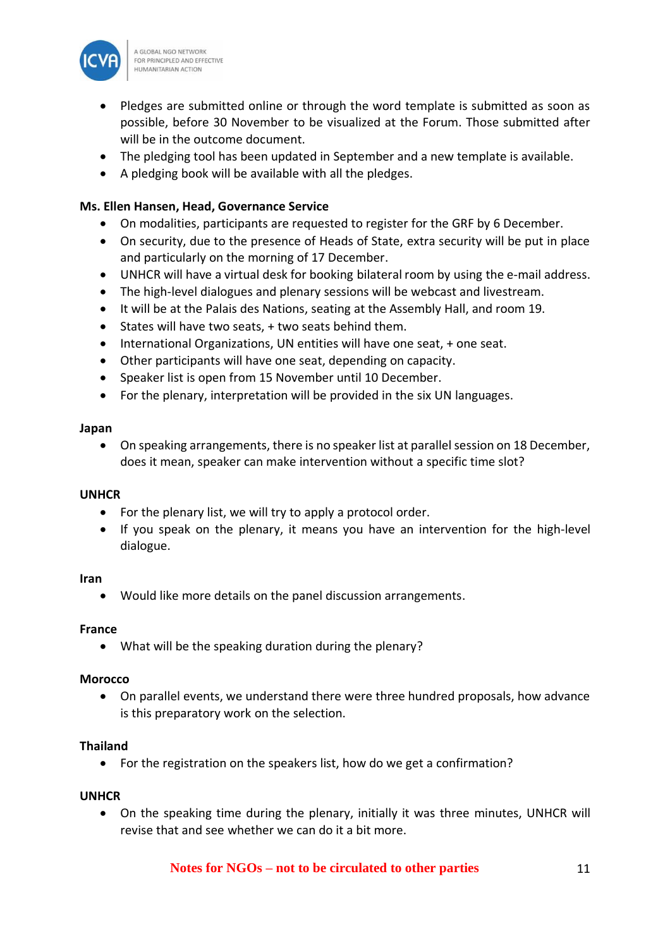

- Pledges are submitted online or through the word template is submitted as soon as possible, before 30 November to be visualized at the Forum. Those submitted after will be in the outcome document.
- The pledging tool has been updated in September and a new template is available.
- A pledging book will be available with all the pledges.

## **Ms. Ellen Hansen, Head, Governance Service**

- On modalities, participants are requested to register for the GRF by 6 December.
- On security, due to the presence of Heads of State, extra security will be put in place and particularly on the morning of 17 December.
- UNHCR will have a virtual desk for booking bilateral room by using the e-mail address.
- The high-level dialogues and plenary sessions will be webcast and livestream.
- It will be at the Palais des Nations, seating at the Assembly Hall, and room 19.
- States will have two seats, + two seats behind them.
- International Organizations, UN entities will have one seat, + one seat.
- Other participants will have one seat, depending on capacity.
- Speaker list is open from 15 November until 10 December.
- For the plenary, interpretation will be provided in the six UN languages.

#### **Japan**

• On speaking arrangements, there is no speaker list at parallel session on 18 December, does it mean, speaker can make intervention without a specific time slot?

#### **UNHCR**

- For the plenary list, we will try to apply a protocol order.
- If you speak on the plenary, it means you have an intervention for the high-level dialogue.

#### **Iran**

• Would like more details on the panel discussion arrangements.

#### **France**

• What will be the speaking duration during the plenary?

#### **Morocco**

• On parallel events, we understand there were three hundred proposals, how advance is this preparatory work on the selection.

#### **Thailand**

• For the registration on the speakers list, how do we get a confirmation?

#### **UNHCR**

• On the speaking time during the plenary, initially it was three minutes, UNHCR will revise that and see whether we can do it a bit more.